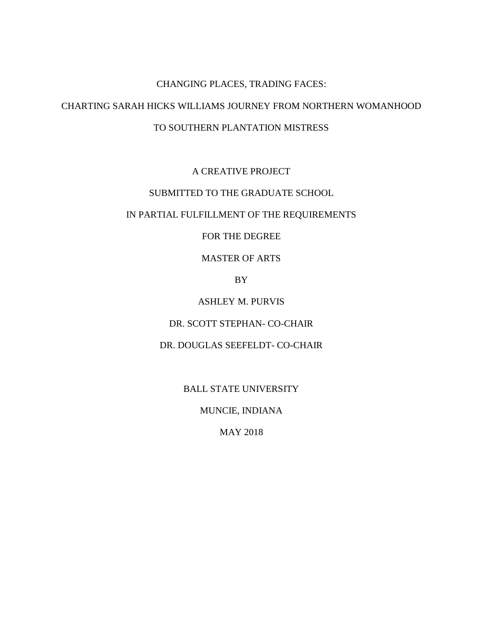# CHANGING PLACES, TRADING FACES: CHARTING SARAH HICKS WILLIAMS JOURNEY FROM NORTHERN WOMANHOOD TO SOUTHERN PLANTATION MISTRESS

# A CREATIVE PROJECT

# SUBMITTED TO THE GRADUATE SCHOOL

# IN PARTIAL FULFILLMENT OF THE REQUIREMENTS

## FOR THE DEGREE

## MASTER OF ARTS

## BY

# ASHLEY M. PURVIS

## DR. SCOTT STEPHAN- CO-CHAIR

## DR. DOUGLAS SEEFELDT- CO-CHAIR

## BALL STATE UNIVERSITY

#### MUNCIE, INDIANA

### MAY 2018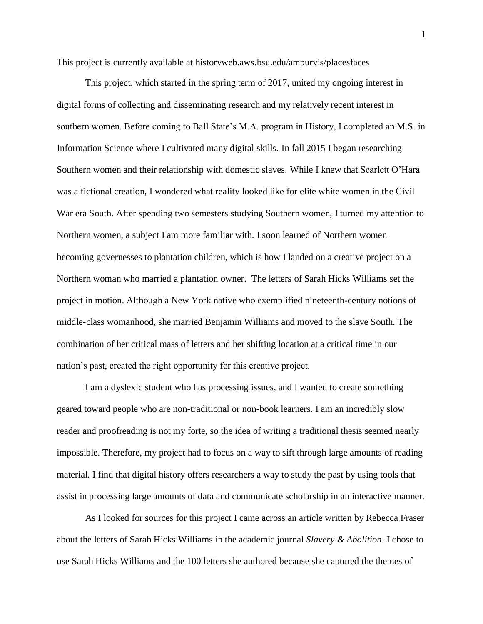This project is currently available at historyweb.aws.bsu.edu/ampurvis/placesfaces

This project, which started in the spring term of 2017, united my ongoing interest in digital forms of collecting and disseminating research and my relatively recent interest in southern women. Before coming to Ball State's M.A. program in History, I completed an M.S. in Information Science where I cultivated many digital skills. In fall 2015 I began researching Southern women and their relationship with domestic slaves. While I knew that Scarlett O'Hara was a fictional creation, I wondered what reality looked like for elite white women in the Civil War era South. After spending two semesters studying Southern women, I turned my attention to Northern women, a subject I am more familiar with. I soon learned of Northern women becoming governesses to plantation children, which is how I landed on a creative project on a Northern woman who married a plantation owner. The letters of Sarah Hicks Williams set the project in motion. Although a New York native who exemplified nineteenth-century notions of middle-class womanhood, she married Benjamin Williams and moved to the slave South. The combination of her critical mass of letters and her shifting location at a critical time in our nation's past, created the right opportunity for this creative project.

I am a dyslexic student who has processing issues, and I wanted to create something geared toward people who are non-traditional or non-book learners. I am an incredibly slow reader and proofreading is not my forte, so the idea of writing a traditional thesis seemed nearly impossible. Therefore, my project had to focus on a way to sift through large amounts of reading material. I find that digital history offers researchers a way to study the past by using tools that assist in processing large amounts of data and communicate scholarship in an interactive manner.

As I looked for sources for this project I came across an article written by Rebecca Fraser about the letters of Sarah Hicks Williams in the academic journal *Slavery & Abolition*. I chose to use Sarah Hicks Williams and the 100 letters she authored because she captured the themes of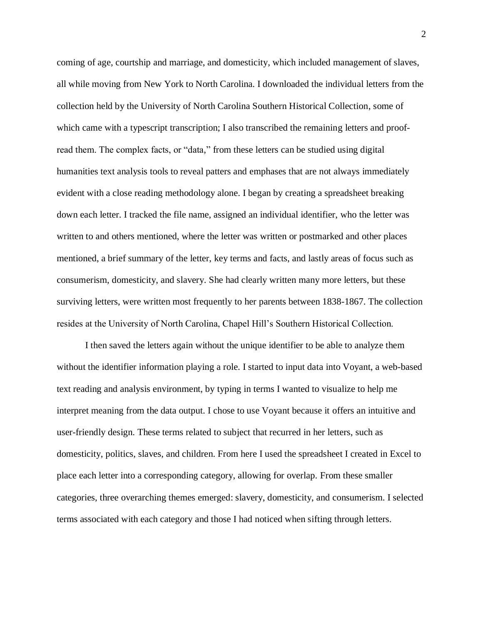coming of age, courtship and marriage, and domesticity, which included management of slaves, all while moving from New York to North Carolina. I downloaded the individual letters from the collection held by the University of North Carolina Southern Historical Collection, some of which came with a typescript transcription; I also transcribed the remaining letters and proofread them. The complex facts, or "data," from these letters can be studied using digital humanities text analysis tools to reveal patters and emphases that are not always immediately evident with a close reading methodology alone. I began by creating a spreadsheet breaking down each letter. I tracked the file name, assigned an individual identifier, who the letter was written to and others mentioned, where the letter was written or postmarked and other places mentioned, a brief summary of the letter, key terms and facts, and lastly areas of focus such as consumerism, domesticity, and slavery. She had clearly written many more letters, but these surviving letters, were written most frequently to her parents between 1838-1867. The collection resides at the University of North Carolina, Chapel Hill's Southern Historical Collection.

I then saved the letters again without the unique identifier to be able to analyze them without the identifier information playing a role. I started to input data into Voyant, a web-based text reading and analysis environment, by typing in terms I wanted to visualize to help me interpret meaning from the data output. I chose to use Voyant because it offers an intuitive and user-friendly design. These terms related to subject that recurred in her letters, such as domesticity, politics, slaves, and children. From here I used the spreadsheet I created in Excel to place each letter into a corresponding category, allowing for overlap. From these smaller categories, three overarching themes emerged: slavery, domesticity, and consumerism. I selected terms associated with each category and those I had noticed when sifting through letters.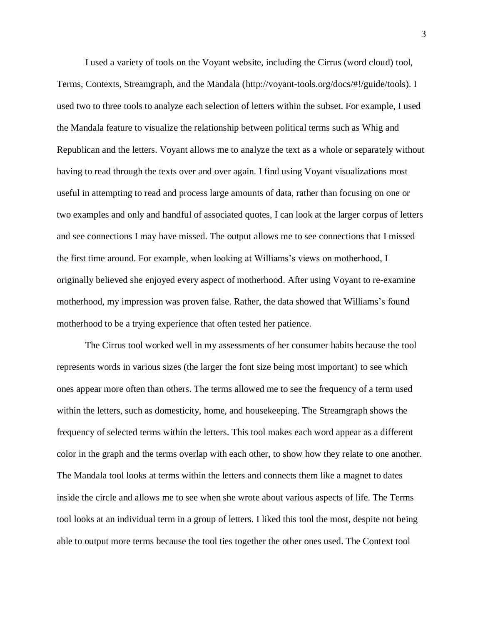I used a variety of tools on the Voyant website, including the Cirrus (word cloud) tool, Terms, Contexts, Streamgraph, and the Mandala (http://voyant-tools.org/docs/#!/guide/tools). I used two to three tools to analyze each selection of letters within the subset. For example, I used the Mandala feature to visualize the relationship between political terms such as Whig and Republican and the letters. Voyant allows me to analyze the text as a whole or separately without having to read through the texts over and over again. I find using Voyant visualizations most useful in attempting to read and process large amounts of data, rather than focusing on one or two examples and only and handful of associated quotes, I can look at the larger corpus of letters and see connections I may have missed. The output allows me to see connections that I missed the first time around. For example, when looking at Williams's views on motherhood, I originally believed she enjoyed every aspect of motherhood. After using Voyant to re-examine motherhood, my impression was proven false. Rather, the data showed that Williams's found motherhood to be a trying experience that often tested her patience.

The Cirrus tool worked well in my assessments of her consumer habits because the tool represents words in various sizes (the larger the font size being most important) to see which ones appear more often than others. The terms allowed me to see the frequency of a term used within the letters, such as domesticity, home, and housekeeping. The Streamgraph shows the frequency of selected terms within the letters. This tool makes each word appear as a different color in the graph and the terms overlap with each other, to show how they relate to one another. The Mandala tool looks at terms within the letters and connects them like a magnet to dates inside the circle and allows me to see when she wrote about various aspects of life. The Terms tool looks at an individual term in a group of letters. I liked this tool the most, despite not being able to output more terms because the tool ties together the other ones used. The Context tool